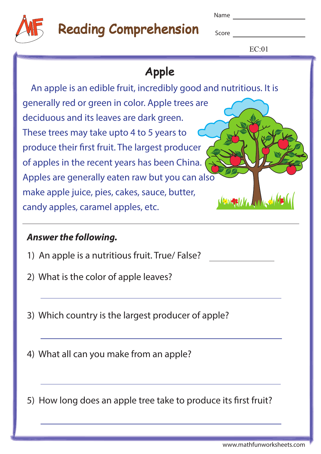



# **Reading Comprehension** Score

 $EC:01$ 

### **Apple** An apple is an edible fruit, incredibly good and nutritious. It is generally red or green in color. Apple trees are deciduous and its leaves are dark green. These trees may take upto 4 to 5 years to produce their first fruit. The largest producer of apples in the recent years has been China. Apples are generally eaten raw but you can also make apple juice, pies, cakes, sauce, butter, candy apples, caramel apples, etc.

#### **Answer the following.**

- 1) An apple is a nutritious fruit. True/ False?
- 2) What is the color of apple leaves?
- 3) Which country is the largest producer of apple?
- 4) What all can you make from an apple?

5) How long does an apple tree take to produce its first fruit?